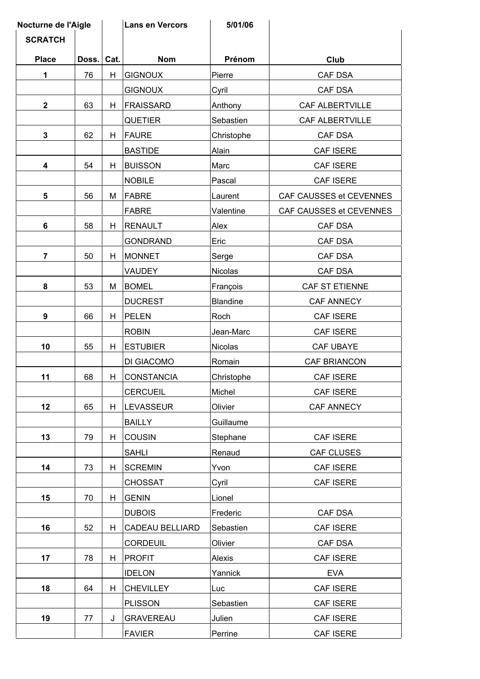| Nocturne de l'Aigle |       |      | <b>Lans en Vercors</b> | 5/01/06         |                         |
|---------------------|-------|------|------------------------|-----------------|-------------------------|
| <b>SCRATCH</b>      |       |      |                        |                 |                         |
| <b>Place</b>        | Doss. | Cat. | <b>Nom</b>             | Prénom          | Club                    |
| 1                   | 76    | H    | <b>GIGNOUX</b>         | Pierre          | CAF DSA                 |
|                     |       |      | <b>GIGNOUX</b>         | Cyril           | CAF DSA                 |
| $\mathbf{2}$        | 63    | H    | <b>FRAISSARD</b>       | Anthony         | <b>CAF ALBERTVILLE</b>  |
|                     |       |      | <b>QUETIER</b>         | Sebastien       | CAF ALBERTVILLE         |
| $\mathbf 3$         | 62    | H    | <b>FAURE</b>           | Christophe      | CAF DSA                 |
|                     |       |      | <b>BASTIDE</b>         | Alain           | CAF ISERE               |
| $\boldsymbol{4}$    | 54    | Н    | <b>BUISSON</b>         | Marc            | CAF ISERE               |
|                     |       |      | <b>NOBILE</b>          | Pascal          | CAF ISERE               |
| 5                   | 56    | M    | <b>FABRE</b>           | Laurent         | CAF CAUSSES et CEVENNES |
|                     |       |      | <b>FABRE</b>           | Valentine       | CAF CAUSSES et CEVENNES |
| 6                   | 58    | Н    | <b>RENAULT</b>         | Alex            | CAF DSA                 |
|                     |       |      | <b>GONDRAND</b>        | Eric            | CAF DSA                 |
| $\overline{7}$      | 50    | H    | <b>MONNET</b>          | Serge           | CAF DSA                 |
|                     |       |      | <b>VAUDEY</b>          | Nicolas         | CAF DSA                 |
| 8                   | 53    | M    | <b>BOMEL</b>           | François        | CAF ST ETIENNE          |
|                     |       |      | <b>DUCREST</b>         | <b>Blandine</b> | <b>CAF ANNECY</b>       |
| 9                   | 66    | H    | <b>PELEN</b>           | Roch            | CAF ISERE               |
|                     |       |      | <b>ROBIN</b>           | Jean-Marc       | <b>CAF ISERE</b>        |
| 10                  | 55    | н    | <b>ESTUBIER</b>        | Nicolas         | CAF UBAYE               |
|                     |       |      | DI GIACOMO             | Romain          | CAF BRIANCON            |
| 11                  | 68    | H    | <b>CONSTANCIA</b>      | Christophe      | <b>CAF ISERE</b>        |
|                     |       |      | <b>CERCUEIL</b>        | Michel          | CAF ISERE               |
| 12                  | 65    | H    | <b>LEVASSEUR</b>       | Olivier         | CAF ANNECY              |
|                     |       |      | <b>BAILLY</b>          | Guillaume       |                         |
| 13                  | 79    | н    | <b>COUSIN</b>          | Stephane        | CAF ISERE               |
|                     |       |      | <b>SAHLI</b>           | Renaud          | CAF CLUSES              |
| 14                  | 73    | H    | <b>SCREMIN</b>         | Yvon            | CAF ISERE               |
|                     |       |      | <b>CHOSSAT</b>         | Cyril           | CAF ISERE               |
| 15                  | 70    | H    | <b>GENIN</b>           | Lionel          |                         |
|                     |       |      | <b>DUBOIS</b>          | Frederic        | CAF DSA                 |
| 16                  | 52    | H    | <b>CADEAU BELLIARD</b> | Sebastien       | CAF ISERE               |
|                     |       |      | <b>CORDEUIL</b>        | Olivier         | CAF DSA                 |
| 17                  | 78    | H    | <b>PROFIT</b>          | Alexis          | CAF ISERE               |
|                     |       |      | <b>IDELON</b>          | Yannick         | <b>EVA</b>              |
| 18                  | 64    | H    | <b>CHEVILLEY</b>       | Luc             | <b>CAF ISERE</b>        |
|                     |       |      | <b>PLISSON</b>         | Sebastien       | CAF ISERE               |
| 19                  | 77    | J    | <b>GRAVEREAU</b>       | Julien          | CAF ISERE               |
|                     |       |      | <b>FAVIER</b>          | Perrine         | CAF ISERE               |